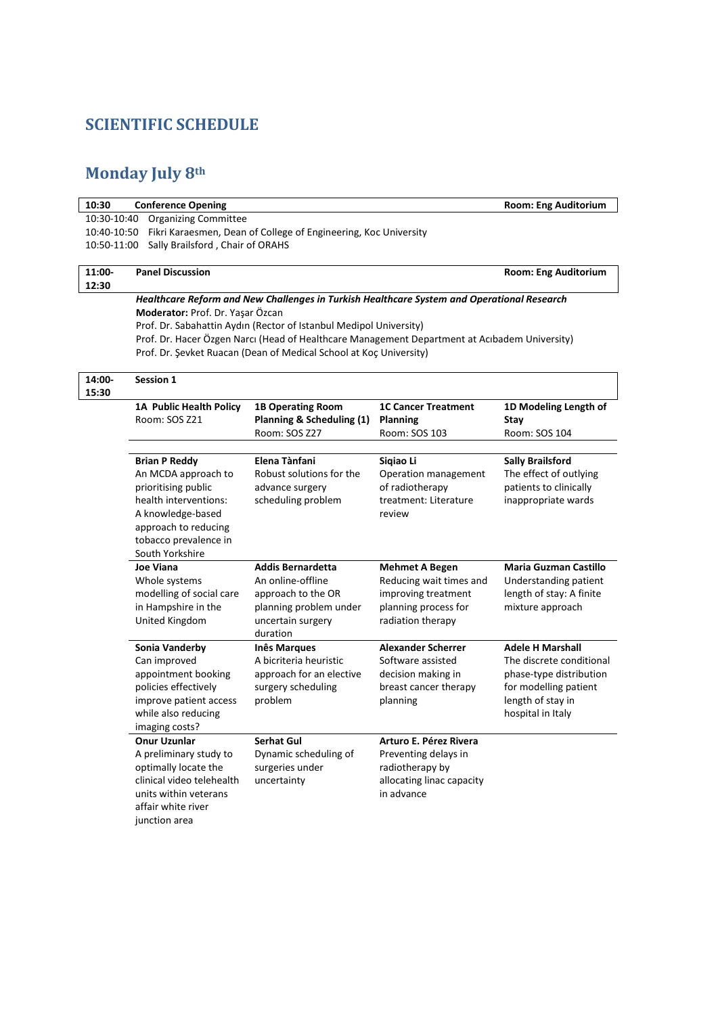### **SCIENTIFIC SCHEDULE**

# **Monday July 8th**

| 10:30           | <b>Conference Opening</b>                          |                                                                                               |                                         | <b>Room: Eng Auditorium</b>                       |  |
|-----------------|----------------------------------------------------|-----------------------------------------------------------------------------------------------|-----------------------------------------|---------------------------------------------------|--|
|                 | <b>Organizing Committee</b><br>10:30-10:40         |                                                                                               |                                         |                                                   |  |
| 10:40-10:50     |                                                    | Fikri Karaesmen, Dean of College of Engineering, Koc University                               |                                         |                                                   |  |
| 10:50-11:00     | Sally Brailsford, Chair of ORAHS                   |                                                                                               |                                         |                                                   |  |
|                 |                                                    |                                                                                               |                                         |                                                   |  |
| 11:00-<br>12:30 | <b>Panel Discussion</b>                            |                                                                                               |                                         | <b>Room: Eng Auditorium</b>                       |  |
|                 |                                                    | Healthcare Reform and New Challenges in Turkish Healthcare System and Operational Research    |                                         |                                                   |  |
|                 | Moderator: Prof. Dr. Yaşar Özcan                   |                                                                                               |                                         |                                                   |  |
|                 |                                                    | Prof. Dr. Sabahattin Aydın (Rector of Istanbul Medipol University)                            |                                         |                                                   |  |
|                 |                                                    | Prof. Dr. Hacer Özgen Narcı (Head of Healthcare Management Department at Acıbadem University) |                                         |                                                   |  |
|                 |                                                    | Prof. Dr. Şevket Ruacan (Dean of Medical School at Koç University)                            |                                         |                                                   |  |
|                 |                                                    |                                                                                               |                                         |                                                   |  |
| 14:00-          | Session 1                                          |                                                                                               |                                         |                                                   |  |
| 15:30           |                                                    |                                                                                               |                                         |                                                   |  |
|                 | 1A Public Health Policy                            | <b>1B Operating Room</b>                                                                      | <b>1C Cancer Treatment</b>              | 1D Modeling Length of                             |  |
|                 | Room: SOS Z21                                      | <b>Planning &amp; Scheduling (1)</b>                                                          | Planning                                | Stay                                              |  |
|                 |                                                    | Room: SOS Z27                                                                                 | Room: SOS 103                           | Room: SOS 104                                     |  |
|                 |                                                    |                                                                                               |                                         |                                                   |  |
|                 | <b>Brian P Reddy</b><br>An MCDA approach to        | Elena Tànfani<br>Robust solutions for the                                                     | Sigiao Li<br>Operation management       | <b>Sally Brailsford</b><br>The effect of outlying |  |
|                 | prioritising public                                | advance surgery                                                                               | of radiotherapy                         | patients to clinically                            |  |
|                 | health interventions:                              | scheduling problem                                                                            | treatment: Literature                   | inappropriate wards                               |  |
|                 | A knowledge-based                                  |                                                                                               | review                                  |                                                   |  |
|                 | approach to reducing                               |                                                                                               |                                         |                                                   |  |
|                 | tobacco prevalence in                              |                                                                                               |                                         |                                                   |  |
| South Yorkshire |                                                    |                                                                                               |                                         |                                                   |  |
|                 | Joe Viana                                          | <b>Addis Bernardetta</b>                                                                      | <b>Mehmet A Begen</b>                   | Maria Guzman Castillo                             |  |
|                 | Whole systems                                      | An online-offline                                                                             | Reducing wait times and                 | Understanding patient                             |  |
|                 | modelling of social care                           | approach to the OR                                                                            | improving treatment                     | length of stay: A finite                          |  |
|                 | in Hampshire in the                                | planning problem under                                                                        | planning process for                    | mixture approach                                  |  |
|                 | United Kingdom                                     | uncertain surgery<br>duration                                                                 | radiation therapy                       |                                                   |  |
|                 | Sonia Vanderby                                     | <b>Inês Marques</b>                                                                           | <b>Alexander Scherrer</b>               | <b>Adele H Marshall</b>                           |  |
|                 | Can improved                                       | A bicriteria heuristic                                                                        | Software assisted                       | The discrete conditional                          |  |
|                 | appointment booking                                | approach for an elective                                                                      | decision making in                      | phase-type distribution                           |  |
|                 | policies effectively                               | surgery scheduling                                                                            | breast cancer therapy                   | for modelling patient                             |  |
|                 | improve patient access                             | problem                                                                                       | planning                                | length of stay in                                 |  |
|                 | while also reducing                                |                                                                                               |                                         | hospital in Italy                                 |  |
|                 | imaging costs?                                     |                                                                                               |                                         |                                                   |  |
|                 | <b>Onur Uzunlar</b>                                | Serhat Gul                                                                                    | Arturo E. Pérez Rivera                  |                                                   |  |
|                 | A preliminary study to                             | Dynamic scheduling of                                                                         | Preventing delays in                    |                                                   |  |
|                 | optimally locate the                               | surgeries under                                                                               | radiotherapy by                         |                                                   |  |
|                 | clinical video telehealth<br>units within veterans | uncertainty                                                                                   | allocating linac capacity<br>in advance |                                                   |  |
|                 | affair white river                                 |                                                                                               |                                         |                                                   |  |
|                 | junction area                                      |                                                                                               |                                         |                                                   |  |
|                 |                                                    |                                                                                               |                                         |                                                   |  |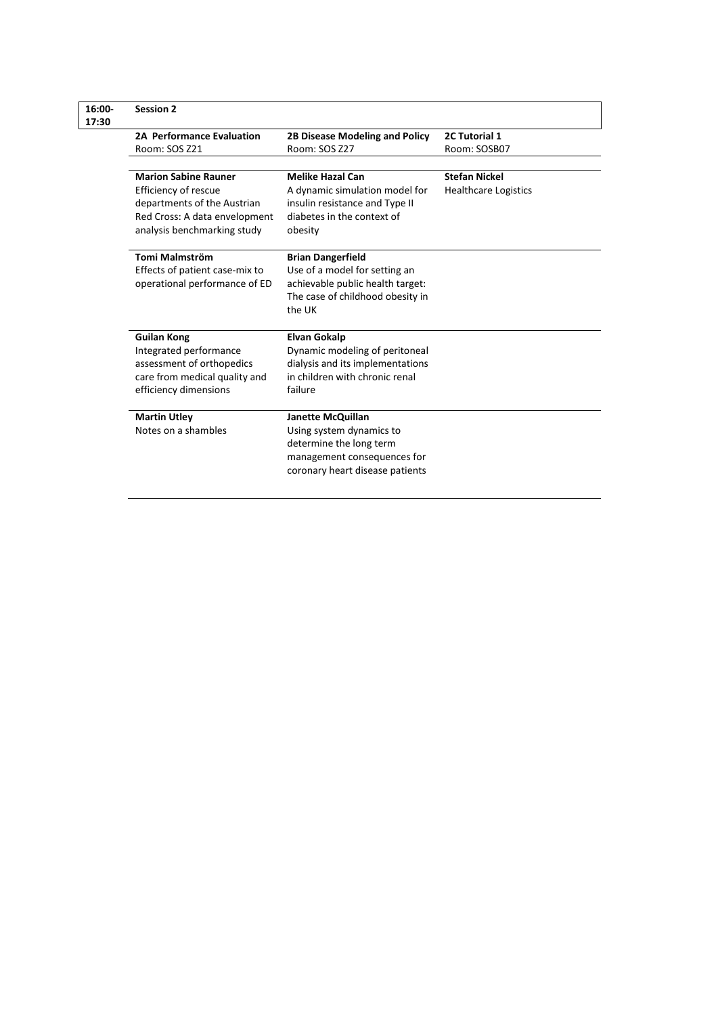| <b>Session 2</b>                                    |                                                              |                             |  |
|-----------------------------------------------------|--------------------------------------------------------------|-----------------------------|--|
| 2A Performance Evaluation                           | 2B Disease Modeling and Policy                               | 2C Tutorial 1               |  |
| Room: SOS Z21                                       | Room: SOS Z27                                                | Room: SOSB07                |  |
|                                                     |                                                              | <b>Stefan Nickel</b>        |  |
| <b>Marion Sabine Rauner</b>                         | <b>Melike Hazal Can</b>                                      |                             |  |
| Efficiency of rescue<br>departments of the Austrian | A dynamic simulation model for                               | <b>Healthcare Logistics</b> |  |
| Red Cross: A data envelopment                       | insulin resistance and Type II<br>diabetes in the context of |                             |  |
| analysis benchmarking study                         | obesity                                                      |                             |  |
|                                                     |                                                              |                             |  |
| Tomi Malmström                                      | <b>Brian Dangerfield</b>                                     |                             |  |
| Effects of patient case-mix to                      | Use of a model for setting an                                |                             |  |
| operational performance of ED                       | achievable public health target:                             |                             |  |
|                                                     | The case of childhood obesity in                             |                             |  |
|                                                     | the UK                                                       |                             |  |
| <b>Guilan Kong</b>                                  | <b>Elvan Gokalp</b>                                          |                             |  |
| Integrated performance                              | Dynamic modeling of peritoneal                               |                             |  |
| assessment of orthopedics                           | dialysis and its implementations                             |                             |  |
| care from medical quality and                       | in children with chronic renal                               |                             |  |
| efficiency dimensions                               | failure                                                      |                             |  |
|                                                     |                                                              |                             |  |
| <b>Martin Utley</b>                                 | Janette McQuillan                                            |                             |  |
| Notes on a shambles                                 | Using system dynamics to                                     |                             |  |
|                                                     | determine the long term                                      |                             |  |
|                                                     | management consequences for                                  |                             |  |
|                                                     | coronary heart disease patients                              |                             |  |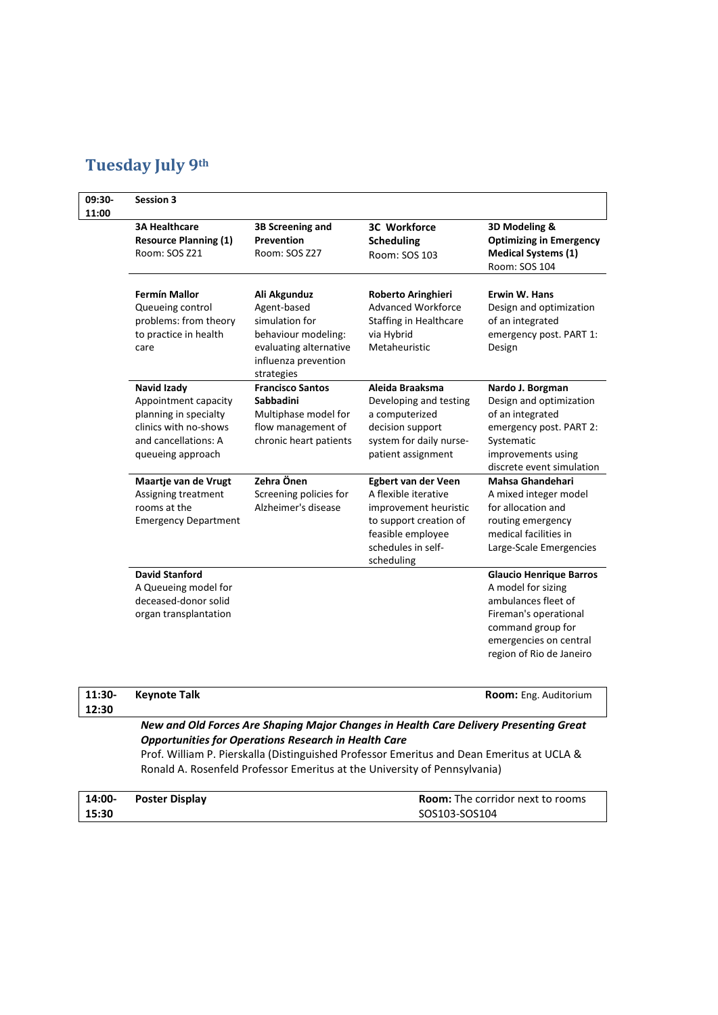## **Tuesday July 9th**

| 09:30-<br>11:00 | <b>Session 3</b>                                                                                                                   |                                                                                                                                      |                                                                                                                                                         |                                                                                                                                                                                 |
|-----------------|------------------------------------------------------------------------------------------------------------------------------------|--------------------------------------------------------------------------------------------------------------------------------------|---------------------------------------------------------------------------------------------------------------------------------------------------------|---------------------------------------------------------------------------------------------------------------------------------------------------------------------------------|
|                 | <b>3A Healthcare</b><br><b>Resource Planning (1)</b><br>Room: SOS Z21                                                              | 3B Screening and<br><b>Prevention</b><br>Room: SOS Z27                                                                               | <b>3C Workforce</b><br><b>Scheduling</b><br>Room: SOS 103                                                                                               | 3D Modeling &<br><b>Optimizing in Emergency</b><br><b>Medical Systems (1)</b><br>Room: SOS 104                                                                                  |
|                 | <b>Fermín Mallor</b><br>Queueing control<br>problems: from theory<br>to practice in health<br>care                                 | Ali Akgunduz<br>Agent-based<br>simulation for<br>behaviour modeling:<br>evaluating alternative<br>influenza prevention<br>strategies | Roberto Aringhieri<br><b>Advanced Workforce</b><br><b>Staffing in Healthcare</b><br>via Hybrid<br>Metaheuristic                                         | Erwin W. Hans<br>Design and optimization<br>of an integrated<br>emergency post. PART 1:<br>Design                                                                               |
|                 | Navid Izady<br>Appointment capacity<br>planning in specialty<br>clinics with no-shows<br>and cancellations: A<br>queueing approach | <b>Francisco Santos</b><br><b>Sabbadini</b><br>Multiphase model for<br>flow management of<br>chronic heart patients                  | Aleida Braaksma<br>Developing and testing<br>a computerized<br>decision support<br>system for daily nurse-<br>patient assignment                        | Nardo J. Borgman<br>Design and optimization<br>of an integrated<br>emergency post. PART 2:<br>Systematic<br>improvements using<br>discrete event simulation                     |
|                 | Maartje van de Vrugt<br>Assigning treatment<br>rooms at the<br><b>Emergency Department</b>                                         | Zehra Önen<br>Screening policies for<br>Alzheimer's disease                                                                          | Egbert van der Veen<br>A flexible iterative<br>improvement heuristic<br>to support creation of<br>feasible employee<br>schedules in self-<br>scheduling | <b>Mahsa Ghandehari</b><br>A mixed integer model<br>for allocation and<br>routing emergency<br>medical facilities in<br>Large-Scale Emergencies                                 |
|                 | <b>David Stanford</b><br>A Queueing model for<br>deceased-donor solid<br>organ transplantation                                     |                                                                                                                                      |                                                                                                                                                         | <b>Glaucio Henrique Barros</b><br>A model for sizing<br>ambulances fleet of<br>Fireman's operational<br>command group for<br>emergencies on central<br>region of Rio de Janeiro |
|                 |                                                                                                                                    |                                                                                                                                      |                                                                                                                                                         |                                                                                                                                                                                 |

| $11:30-$ | Kevnote Talk                                                                          | <b>Room:</b> Eng. Auditorium |
|----------|---------------------------------------------------------------------------------------|------------------------------|
| 12:30    |                                                                                       |                              |
|          | New and Old Forces Are Shaping Major Changes in Health Care Delivery Presenting Great |                              |
|          | <b>Opportunities for Operations Research in Health Care</b>                           |                              |

Prof. William P. Pierskalla (Distinguished Professor Emeritus and Dean Emeritus at UCLA & Ronald A. Rosenfeld Professor Emeritus at the University of Pennsylvania)

| 14:00- | <b>Poster Display</b> | <b>Room:</b> The corridor next to rooms |
|--------|-----------------------|-----------------------------------------|
| 15:30  |                       | SOS103-SOS104                           |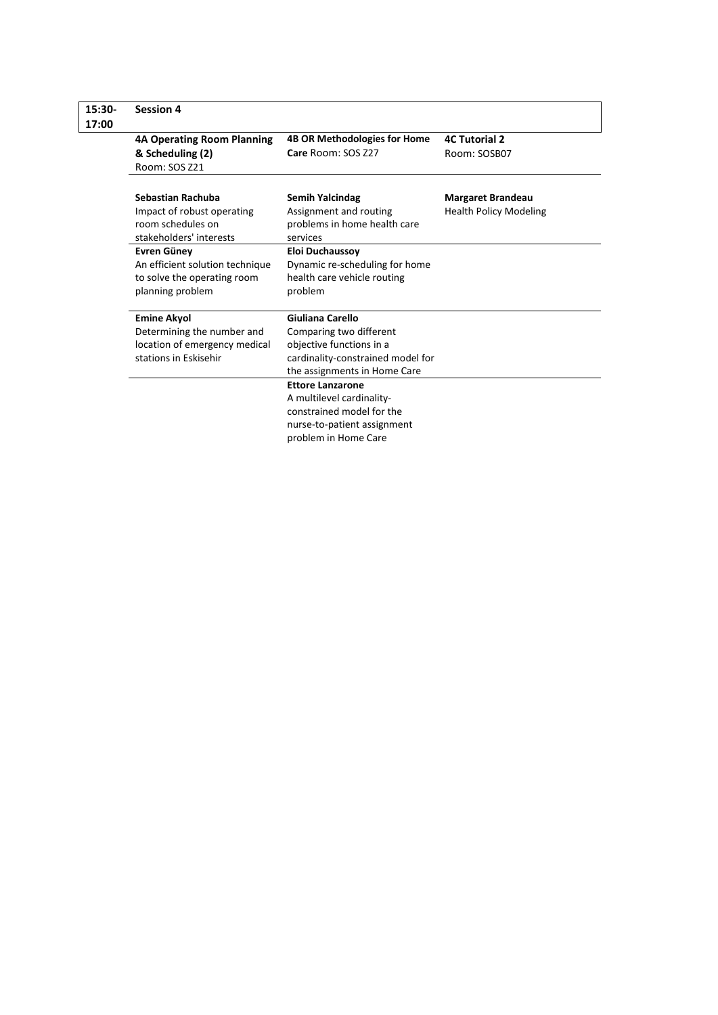| 15:30-<br>17:00 | <b>Session 4</b>                                                                                           |                                                                                                                                              |                                                           |
|-----------------|------------------------------------------------------------------------------------------------------------|----------------------------------------------------------------------------------------------------------------------------------------------|-----------------------------------------------------------|
|                 | <b>4A Operating Room Planning</b><br>& Scheduling (2)<br>Room: SOS Z21                                     | <b>4B OR Methodologies for Home</b><br>Care Room: SOS Z27                                                                                    | <b>4C Tutorial 2</b><br>Room: SOSB07                      |
|                 | Sebastian Rachuba<br>Impact of robust operating<br>room schedules on<br>stakeholders' interests            | <b>Semih Yalcindag</b><br>Assignment and routing<br>problems in home health care<br>services                                                 | <b>Margaret Brandeau</b><br><b>Health Policy Modeling</b> |
|                 | <b>Evren Güney</b><br>An efficient solution technique<br>to solve the operating room<br>planning problem   | <b>Eloi Duchaussoy</b><br>Dynamic re-scheduling for home<br>health care vehicle routing<br>problem                                           |                                                           |
|                 | <b>Emine Akyol</b><br>Determining the number and<br>location of emergency medical<br>stations in Eskisehir | Giuliana Carello<br>Comparing two different<br>objective functions in a<br>cardinality-constrained model for<br>the assignments in Home Care |                                                           |
|                 |                                                                                                            | <b>Ettore Lanzarone</b><br>A multilevel cardinality-<br>constrained model for the<br>nurse-to-patient assignment<br>problem in Home Care     |                                                           |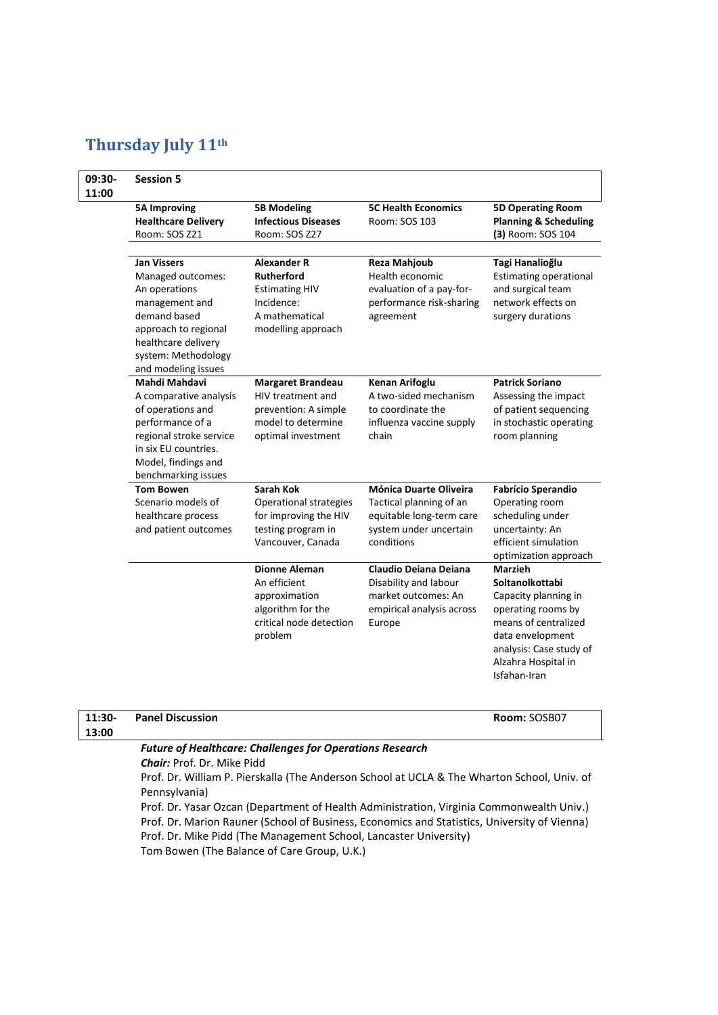## **Thursday July 11th**

| 09:30-<br>11:00 | <b>Session 5</b>                                                                                                                                                                        |                                                                                                                        |                                                                                                                              |                                                                                                                                                                                               |
|-----------------|-----------------------------------------------------------------------------------------------------------------------------------------------------------------------------------------|------------------------------------------------------------------------------------------------------------------------|------------------------------------------------------------------------------------------------------------------------------|-----------------------------------------------------------------------------------------------------------------------------------------------------------------------------------------------|
|                 | <b>5A Improving</b><br><b>Healthcare Delivery</b><br>Room: SOS Z21                                                                                                                      | <b>5B Modeling</b><br><b>Infectious Diseases</b><br>Room: SOS Z27                                                      | <b>5C Health Economics</b><br>Room: SOS 103                                                                                  | <b>5D Operating Room</b><br><b>Planning &amp; Scheduling</b><br>(3) Room: SOS 104                                                                                                             |
|                 | <b>Jan Vissers</b><br>Managed outcomes:<br>An operations<br>management and<br>demand based<br>approach to regional<br>healthcare delivery<br>system: Methodology<br>and modeling issues | <b>Alexander R</b><br><b>Rutherford</b><br><b>Estimating HIV</b><br>Incidence:<br>A mathematical<br>modelling approach | <b>Reza Mahjoub</b><br>Health economic<br>evaluation of a pay-for-<br>performance risk-sharing<br>agreement                  | Tagi Hanalioğlu<br><b>Estimating operational</b><br>and surgical team<br>network effects on<br>surgery durations                                                                              |
|                 | Mahdi Mahdavi<br>A comparative analysis<br>of operations and<br>performance of a<br>regional stroke service<br>in six EU countries.<br>Model, findings and<br>benchmarking issues       | <b>Margaret Brandeau</b><br>HIV treatment and<br>prevention: A simple<br>model to determine<br>optimal investment      | Kenan Arifoglu<br>A two-sided mechanism<br>to coordinate the<br>influenza vaccine supply<br>chain                            | <b>Patrick Soriano</b><br>Assessing the impact<br>of patient sequencing<br>in stochastic operating<br>room planning                                                                           |
|                 | <b>Tom Bowen</b><br>Scenario models of<br>healthcare process<br>and patient outcomes                                                                                                    | <b>Sarah Kok</b><br><b>Operational strategies</b><br>for improving the HIV<br>testing program in<br>Vancouver, Canada  | <b>Mónica Duarte Oliveira</b><br>Tactical planning of an<br>equitable long-term care<br>system under uncertain<br>conditions | <b>Fabrício Sperandio</b><br>Operating room<br>scheduling under<br>uncertainty: An<br>efficient simulation<br>optimization approach                                                           |
|                 |                                                                                                                                                                                         | <b>Dionne Aleman</b><br>An efficient<br>approximation<br>algorithm for the<br>critical node detection<br>problem       | Claudio Deiana Deiana<br>Disability and labour<br>market outcomes: An<br>empirical analysis across<br>Europe                 | <b>Marzieh</b><br>Soltanolkottabi<br>Capacity planning in<br>operating rooms by<br>means of centralized<br>data envelopment<br>analysis: Case study of<br>Alzahra Hospital in<br>Isfahan-Iran |

| 11:30- | <b>Panel Discussion</b>                                                                     | Room: SOSB07 |  |  |
|--------|---------------------------------------------------------------------------------------------|--------------|--|--|
| 13:00  |                                                                                             |              |  |  |
|        | <b>Future of Healthcare: Challenges for Operations Research</b>                             |              |  |  |
|        | <b>Chair:</b> Prof. Dr. Mike Pidd                                                           |              |  |  |
|        | Prof. Dr. William P. Pierskalla (The Anderson School at UCLA & The Wharton School, Univ. of |              |  |  |
|        | Pennsylvania)                                                                               |              |  |  |
|        |                                                                                             |              |  |  |

Prof. Dr. Yasar Ozcan (Department of Health Administration, Virginia Commonwealth Univ.) Prof. Dr. Marion Rauner [\(School of Business, Economics](http://wirtschaftswissenschaften.univie.ac.at/) and Statistics, University of Vienna) Prof. Dr. Mike Pidd (The Management School, Lancaster University) Tom Bowen (The Balance of Care Group, U.K.)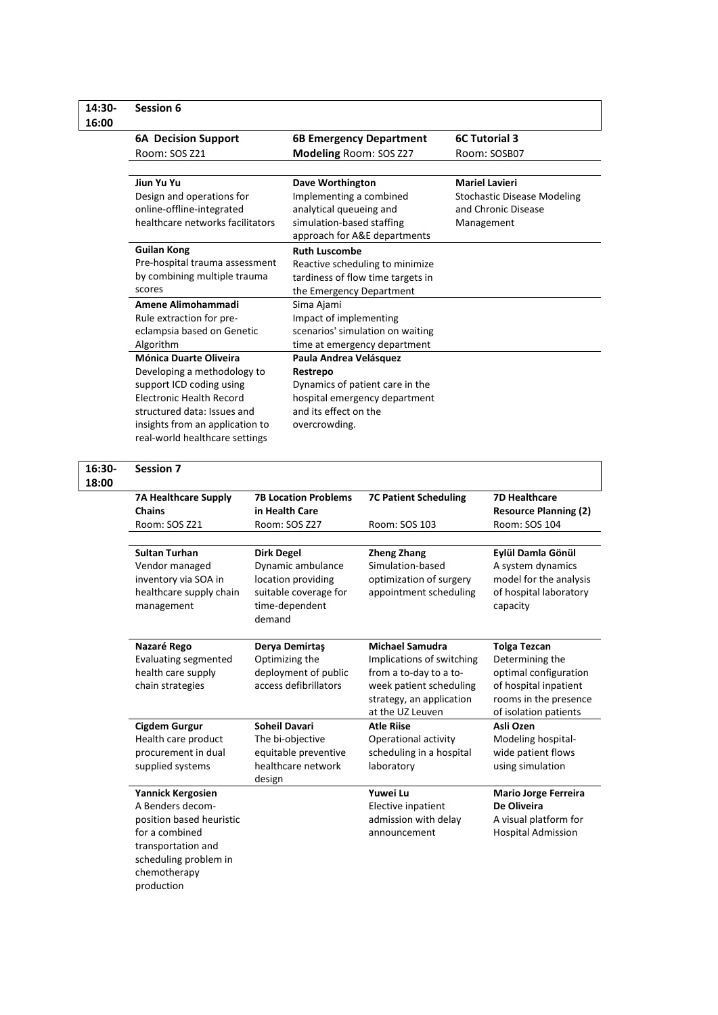#### **14:30- 16:00 Session 6 6A Decision Support** Room: SOS Z21 **6B Emergency Department Modeling** Room: SOS Z27 **6C Tutorial 3** Room: SOSB07 **Jiun Yu Yu**  Design and operations for online-offline-integrated healthcare networks facilitators **Dave Worthington** Implementing a combined analytical queueing and simulation-based staffing approach for A&E departments **Mariel Lavieri** Stochastic Disease Modeling and Chronic Disease Management **Guilan Kong**  Pre-hospital trauma assessment by combining multiple trauma scores **Ruth Luscombe**  Reactive scheduling to minimize tardiness of flow time targets in the Emergency Department **Amene Alimohammadi**  Rule extraction for preeclampsia based on Genetic Algorithm Sima Ajami Impact of implementing scenarios' simulation on waiting time at emergency department **Mónica Duarte Oliveira** Developing a methodology to support ICD coding using Electronic Health Record structured data: Issues and insights from an application to real-world healthcare settings **Paula Andrea Velásquez Restrepo**  Dynamics of patient care in the hospital emergency department and its effect on the overcrowding.

**16:30- 18:00**

| <b>Session 7</b>                                                                                                                                                 |                                                                                                                   |                                                                                                                                                          |                                                                                                                                            |
|------------------------------------------------------------------------------------------------------------------------------------------------------------------|-------------------------------------------------------------------------------------------------------------------|----------------------------------------------------------------------------------------------------------------------------------------------------------|--------------------------------------------------------------------------------------------------------------------------------------------|
| <b>7A Healthcare Supply</b><br><b>Chains</b><br>Room: SOS Z21                                                                                                    | <b>7B Location Problems</b><br>in Health Care<br>Room: SOS Z27                                                    | <b>7C Patient Scheduling</b><br>Room: SOS 103                                                                                                            | <b>7D Healthcare</b><br><b>Resource Planning (2)</b><br>Room: SOS 104                                                                      |
| <b>Sultan Turhan</b><br>Vendor managed<br>inventory via SOA in<br>healthcare supply chain<br>management                                                          | <b>Dirk Degel</b><br>Dynamic ambulance<br>location providing<br>suitable coverage for<br>time-dependent<br>demand | <b>Zheng Zhang</b><br>Simulation-based<br>optimization of surgery<br>appointment scheduling                                                              | Eylül Damla Gönül<br>A system dynamics<br>model for the analysis<br>of hospital laboratory<br>capacity                                     |
| Nazaré Rego<br><b>Evaluating segmented</b><br>health care supply<br>chain strategies                                                                             | Derya Demirtaş<br>Optimizing the<br>deployment of public<br>access defibrillators                                 | <b>Michael Samudra</b><br>Implications of switching<br>from a to-day to a to-<br>week patient scheduling<br>strategy, an application<br>at the UZ Leuven | <b>Tolga Tezcan</b><br>Determining the<br>optimal configuration<br>of hospital inpatient<br>rooms in the presence<br>of isolation patients |
| <b>Cigdem Gurgur</b><br>Health care product<br>procurement in dual<br>supplied systems                                                                           | <b>Soheil Davari</b><br>The bi-objective<br>equitable preventive<br>healthcare network<br>design                  | <b>Atle Riise</b><br>Operational activity<br>scheduling in a hospital<br>laboratory                                                                      | Asli Ozen<br>Modeling hospital-<br>wide patient flows<br>using simulation                                                                  |
| Yannick Kergosien<br>A Benders decom-<br>position based heuristic<br>for a combined<br>transportation and<br>scheduling problem in<br>chemotherapy<br>production |                                                                                                                   | Yuwei Lu<br>Elective inpatient<br>admission with delay<br>announcement                                                                                   | <b>Mario Jorge Ferreira</b><br>De Oliveira<br>A visual platform for<br><b>Hospital Admission</b>                                           |